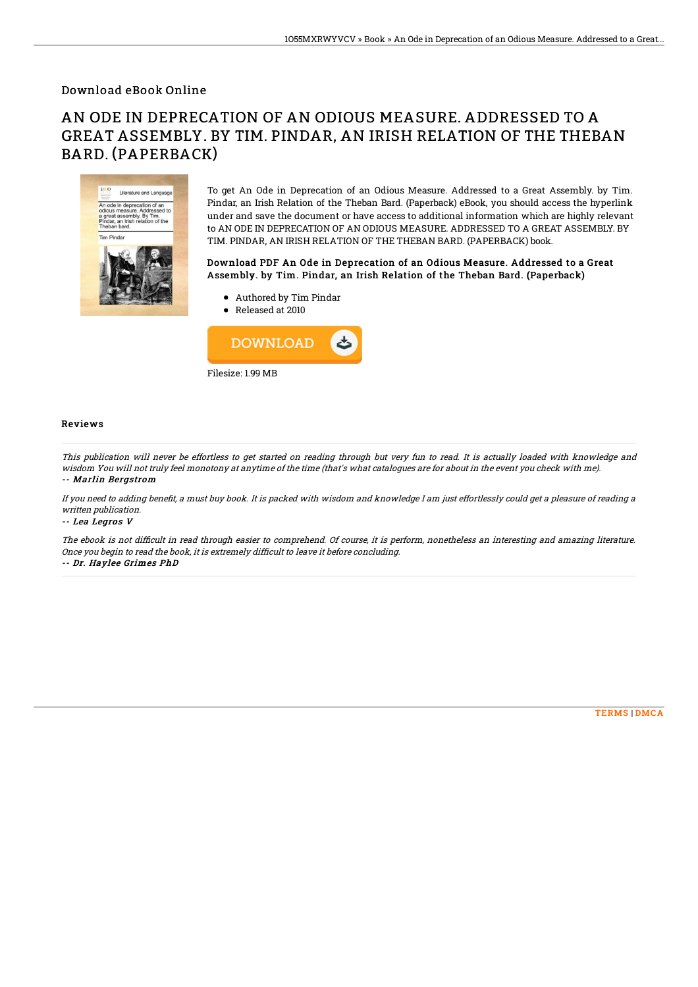### Download eBook Online

# AN ODE IN DEPRECATION OF AN ODIOUS MEASURE. ADDRESSED TO A GREAT ASSEMBLY. BY TIM. PINDAR, AN IRISH RELATION OF THE THEBAN BARD. (PAPERBACK)



To get An Ode in Deprecation of an Odious Measure. Addressed to a Great Assembly. by Tim. Pindar, an Irish Relation of the Theban Bard. (Paperback) eBook, you should access the hyperlink under and save the document or have access to additional information which are highly relevant to AN ODE IN DEPRECATION OF AN ODIOUS MEASURE. ADDRESSED TO A GREAT ASSEMBLY. BY TIM. PINDAR, AN IRISH RELATION OF THE THEBAN BARD. (PAPERBACK) book.

#### Download PDF An Ode in Deprecation of an Odious Measure. Addressed to a Great Assembly. by Tim. Pindar, an Irish Relation of the Theban Bard. (Paperback)

- Authored by Tim Pindar
- Released at 2010



#### Reviews

This publication will never be effortless to get started on reading through but very fun to read. It is actually loaded with knowledge and wisdom You will not truly feel monotony at anytime of the time (that's what catalogues are for about in the event you check with me). -- Marlin Bergstrom

If you need to adding benefit, a must buy book. It is packed with wisdom and knowledge I am just effortlessly could get a pleasure of reading a written publication.

-- Lea Legros V

The ebook is not difficult in read through easier to comprehend. Of course, it is perform, nonetheless an interesting and amazing literature. Once you begin to read the book, it is extremely difficult to leave it before concluding.

-- Dr. Haylee Grimes PhD